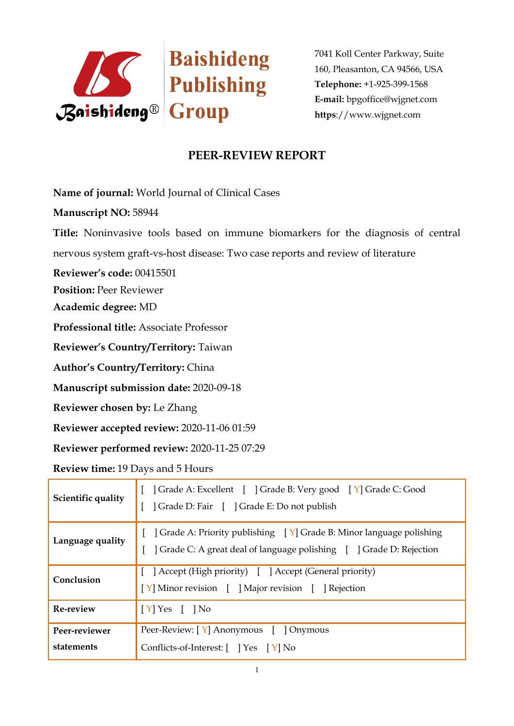

7041 Koll Center Parkway, Suite 160, Pleasanton, CA 94566, USA **Telephone:** +1-925-399-1568 **E-mail:** bpgoffice@wjgnet.com **https**://www.wjgnet.com

## **PEER-REVIEW REPORT**

**Name of journal:** World Journal of Clinical Cases

**Manuscript NO:** 58944

**Title:** Noninvasive tools based on immune biomarkers for the diagnosis of central nervous system graft-vs-host disease: Two case reports and review of literature

**Reviewer's code:** 00415501

**Position:** Peer Reviewer

**Academic degree:** MD

**Professional title:** Associate Professor

**Reviewer's Country/Territory:** Taiwan

**Author's Country/Territory:** China

**Manuscript submission date:** 2020-09-18

**Reviewer chosen by:** Le Zhang

**Reviewer accepted review:** 2020-11-06 01:59

**Reviewer performed review:** 2020-11-25 07:29

**Review time:** 19 Days and 5 Hours

| Scientific quality          | ] Grade A: Excellent [ ] Grade B: Very good [ Y] Grade C: Good<br>  Grade D: Fair   Grade E: Do not publish                                                  |
|-----------------------------|--------------------------------------------------------------------------------------------------------------------------------------------------------------|
| Language quality            | $\vert$ Grade A: Priority publishing $\vert Y \vert$ Grade B: Minor language polishing<br>Crade C: A great deal of language polishing [ ] Grade D: Rejection |
| Conclusion                  | [ ] Accept (High priority) [ ] Accept (General priority)<br>[Y] Minor revision [ ] Major revision [ ] Rejection                                              |
| Re-review                   | $[Y]$ Yes $[$ $]$ No                                                                                                                                         |
| Peer-reviewer<br>statements | Peer-Review: [Y] Anonymous [ ] Onymous<br>Conflicts-of-Interest: [ ] Yes [Y] No                                                                              |